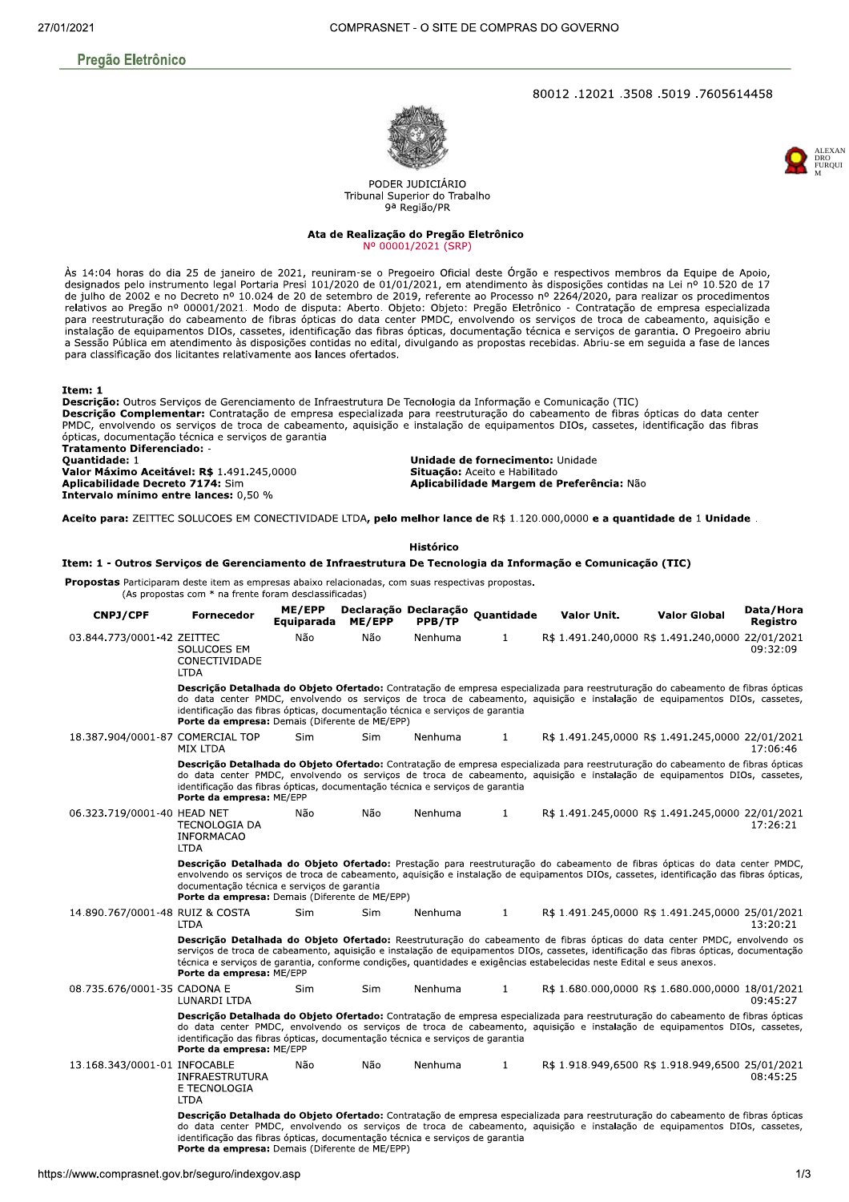# **Pregão Eletrônico**

## 80012.12021.3508.5019.7605614458





PODER JUDICIÁRIO Tribunal Superior do Trabalho 9ª Região/PR

#### Ata de Realização do Pregão Eletrônico Nº 00001/2021 (SRP)

Às 14:04 horas do dia 25 de janeiro de 2021, reuniram-se o Pregoeiro Oficial deste Órgão e respectivos membros da Equipe de Apoio, designados pelo instrumento legal Portaria Presi 101/2020 de 01/01/2021, em atendimento às disposições contidas na Lei nº 10.520 de 17 de julho de 2002 e no Decreto nº 10.024 de 20 de setembro de 2019, referente ao Processo nº 2264/2020, para realizar os procedimentos de junto de 2002 e no Decreto nº 10.024 de 20 de setembro de 2019, referente ao Processo nº 2204/2020, para realizar os procedimentos<br>relativos ao Progo nº 00001/2021. Modo de disputa: Aberto. Objeto: Pregão Eletrônico - C para classificação dos licitantes relativamente aos lances ofertados.

Item: 1

Descrição: Outros Servicos de Gerenciamento de Infraestrutura De Tecnologia da Informação e Comunicação (TIC) Descrição Complementar: Contratação de empresa especializada para reestruturação do cabeamento de fibras ópticas do data center PMDC, envolvendo os serviços de troca de cabeamento, aquisição e instalação de equipamentos DIOs, cassetes, identificação das fibras ópticas, documentação técnica e serviços de garantia Tratamento Diferenciado: Quantidade: 1

Valor Máximo Aceitável: R\$ 1.491.245,0000 Aplicabilidade Decreto 7174: Sim Intervalo mínimo entre lances: 0,50 %

Unidade de fornecimento: Unidade Situação: Aceito e Habilitado Aplicabilidade Margem de Preferência: Não

Aceito para: ZEITTEC SOLUCOES EM CONECTIVIDADE LTDA, pelo melhor lance de R\$ 1.120.000,0000 e a quantidade de 1 Unidade .

Histórico

#### Item: 1 - Outros Serviços de Gerenciamento de Infraestrutura De Tecnologia da Informação e Comunicação (TIC)

Propostas Participaram deste item as empresas abaixo relacionadas, com suas respectivas propostas. (As propostas com \* na frente foram desclassificadas)

| <b>CNPJ/CPF</b>                  | <b>Fornecedor</b>                                                                                                               | ME/EPP<br>Equiparada | ME/EPP     | PPB/TP  | Declaração Declaração Quantidade | Valor Unit.                                                                                                            | <b>Valor Global</b>                                                                                                                                                                                                                                                   | Data/Hora<br>Registro |
|----------------------------------|---------------------------------------------------------------------------------------------------------------------------------|----------------------|------------|---------|----------------------------------|------------------------------------------------------------------------------------------------------------------------|-----------------------------------------------------------------------------------------------------------------------------------------------------------------------------------------------------------------------------------------------------------------------|-----------------------|
| 03.844.773/0001-42 ZEITTEC       | SOLUCOES EM<br>CONECTIVIDADE<br><b>LTDA</b>                                                                                     | Não                  | Não        | Nenhuma | $\mathbf{1}$                     |                                                                                                                        | R\$ 1.491.240,0000 R\$ 1.491.240,0000 22/01/2021                                                                                                                                                                                                                      | 09:32:09              |
|                                  | identificação das fibras ópticas, documentação técnica e serviços de garantia<br>Porte da empresa: Demais (Diferente de ME/EPP) |                      |            |         |                                  |                                                                                                                        | Descrição Detalhada do Objeto Ofertado: Contratação de empresa especializada para reestruturação do cabeamento de fibras ópticas<br>do data center PMDC, envolvendo os serviços de troca de cabeamento, aquisição e instalação de equipamentos DIOs, cassetes,        |                       |
| 18.387.904/0001-87 COMERCIAL TOP | MIX LTDA                                                                                                                        | Sim                  | <b>Sim</b> | Nenhuma | $\mathbf{1}$                     |                                                                                                                        | R\$ 1.491.245,0000 R\$ 1.491.245,0000 22/01/2021                                                                                                                                                                                                                      | 17:06:46              |
|                                  | identificação das fibras ópticas, documentação técnica e serviços de garantia<br>Porte da empresa: ME/EPP                       |                      |            |         |                                  |                                                                                                                        | Descrição Detalhada do Objeto Ofertado: Contratação de empresa especializada para reestruturação do cabeamento de fibras ópticas<br>do data center PMDC, envolvendo os serviços de troca de cabeamento, aquisição e instalação de equipamentos DIOs, cassetes,        |                       |
| 06.323.719/0001-40 HEAD NET      | <b>TECNOLOGIA DA</b><br><b>INFORMACAO</b><br><b>LTDA</b>                                                                        | Não                  | Não        | Nenhuma | $\mathbf{1}$                     |                                                                                                                        | R\$ 1.491.245,0000 R\$ 1.491.245,0000 22/01/2021                                                                                                                                                                                                                      | 17:26:21              |
|                                  | documentação técnica e servicos de garantia<br>Porte da empresa: Demais (Diferente de ME/EPP)                                   |                      |            |         |                                  |                                                                                                                        | Descrição Detalhada do Objeto Ofertado: Prestação para reestruturação do cabeamento de fibras ópticas do data center PMDC,<br>envolvendo os serviços de troca de cabeamento, aquisição e instalação de equipamentos DIOs, cassetes, identificação das fibras ópticas, |                       |
| 14.890.767/0001-48 RUIZ & COSTA  | <b>LTDA</b>                                                                                                                     | Sim                  | <b>Sim</b> | Nenhuma | $\mathbf{1}$                     |                                                                                                                        | R\$ 1.491.245,0000 R\$ 1.491.245,0000 25/01/2021                                                                                                                                                                                                                      | 13:20:21              |
|                                  | Porte da empresa: ME/EPP                                                                                                        |                      |            |         |                                  | técnica e serviços de garantia, conforme condições, quantidades e exigências estabelecidas neste Edital e seus anexos. | Descrição Detalhada do Objeto Ofertado: Reestruturação do cabeamento de fibras ópticas do data center PMDC, envolvendo os<br>serviços de troca de cabeamento, aquisição e instalação de equipamentos DIOs, cassetes, identificação das fibras ópticas, documentação   |                       |
| 08.735.676/0001-35 CADONA E      | LUNARDI LTDA                                                                                                                    | Sim                  | <b>Sim</b> | Nenhuma | $\mathbf{1}$                     |                                                                                                                        | R\$ 1.680.000,0000 R\$ 1.680.000,0000 18/01/2021                                                                                                                                                                                                                      | 09:45:27              |
|                                  | identificação das fibras ópticas, documentação técnica e serviços de garantia<br>Porte da empresa: ME/EPP                       |                      |            |         |                                  |                                                                                                                        | Descrição Detalhada do Objeto Ofertado: Contratação de empresa especializada para reestruturação do cabeamento de fibras ópticas<br>do data center PMDC, envolvendo os serviços de troca de cabeamento, aquisição e instalação de equipamentos DIOs, cassetes,        |                       |
| 13.168.343/0001-01 INFOCABLE     | INFRAESTRUTURA<br>E TECNOLOGIA<br><b>LTDA</b>                                                                                   | Não                  | Não        | Nenhuma | $\mathbf{1}$                     |                                                                                                                        | R\$ 1.918.949,6500 R\$ 1.918.949,6500 25/01/2021                                                                                                                                                                                                                      | 08:45:25              |
|                                  | identificação das fibras ópticas, documentação técnica e serviços de garantia<br>Porte da empresa: Demais (Diferente de ME/EPP) |                      |            |         |                                  |                                                                                                                        | Descrição Detalhada do Objeto Ofertado: Contratação de empresa especializada para reestruturação do cabeamento de fibras ópticas<br>do data center PMDC, envolvendo os serviços de troca de cabeamento, aquisição e instalação de equipamentos DIOs, cassetes,        |                       |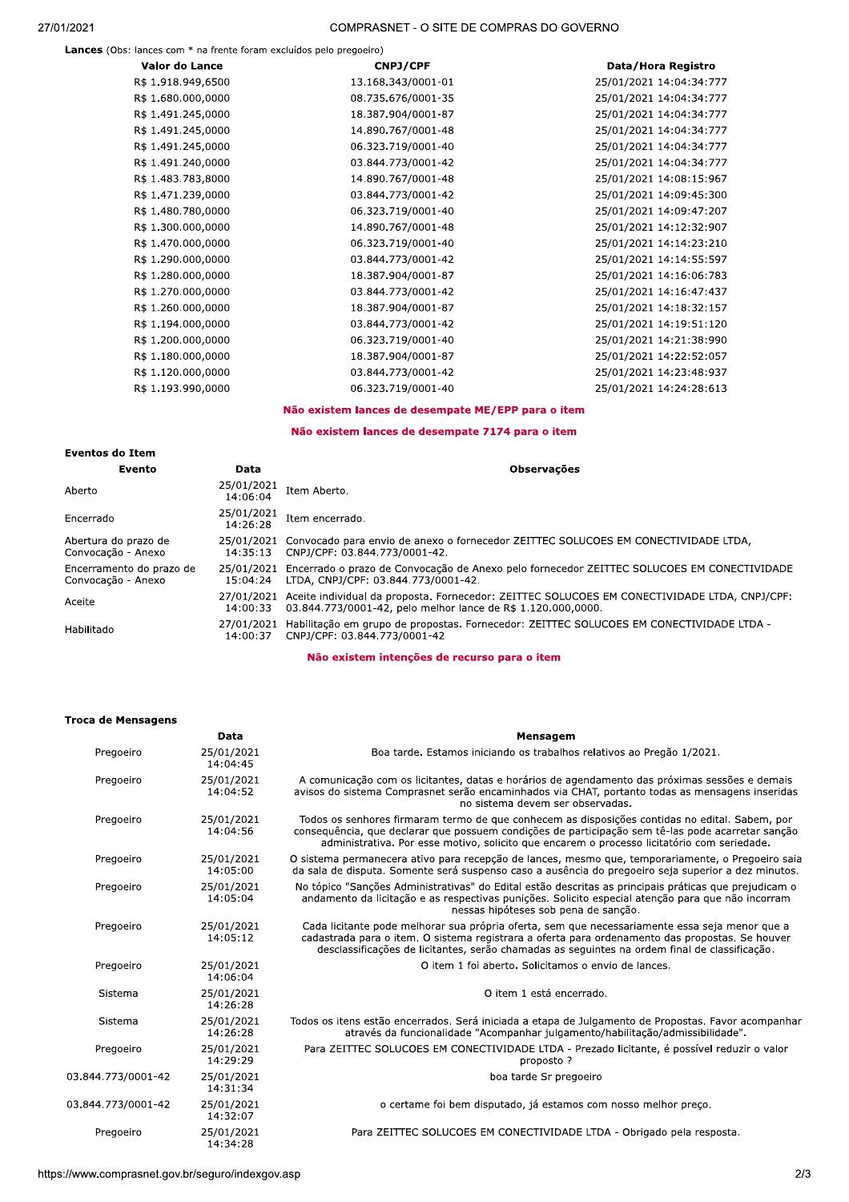Lances (Obs: lances com \* na frente foram excluídos pelo pregoeiro)

| Valor do Lance     | <b>CNPJ/CPF</b>    | Data/Hora Registro      |
|--------------------|--------------------|-------------------------|
| R\$ 1.918.949,6500 | 13.168.343/0001-01 | 25/01/2021 14:04:34:777 |
| R\$ 1.680.000,0000 | 08.735.676/0001-35 | 25/01/2021 14:04:34:777 |
| R\$ 1.491.245,0000 | 18.387.904/0001-87 | 25/01/2021 14:04:34:777 |
| R\$ 1.491.245,0000 | 14.890.767/0001-48 | 25/01/2021 14:04:34:777 |
| R\$ 1.491.245,0000 | 06.323.719/0001-40 | 25/01/2021 14:04:34:777 |
| R\$ 1.491.240,0000 | 03.844.773/0001-42 | 25/01/2021 14:04:34:777 |
| R\$ 1.483.783,8000 | 14.890.767/0001-48 | 25/01/2021 14:08:15:967 |
| R\$ 1.471.239,0000 | 03.844.773/0001-42 | 25/01/2021 14:09:45:300 |
| R\$ 1.480.780,0000 | 06.323.719/0001-40 | 25/01/2021 14:09:47:207 |
| R\$ 1.300.000,0000 | 14.890.767/0001-48 | 25/01/2021 14:12:32:907 |
| R\$ 1.470.000,0000 | 06.323.719/0001-40 | 25/01/2021 14:14:23:210 |
| R\$ 1.290.000,0000 | 03.844.773/0001-42 | 25/01/2021 14:14:55:597 |
| R\$ 1.280.000,0000 | 18.387.904/0001-87 | 25/01/2021 14:16:06:783 |
| R\$ 1.270.000,0000 | 03.844.773/0001-42 | 25/01/2021 14:16:47:437 |
| R\$ 1.260.000,0000 | 18.387.904/0001-87 | 25/01/2021 14:18:32:157 |
| R\$ 1.194.000,0000 | 03.844.773/0001-42 | 25/01/2021 14:19:51:120 |
| R\$ 1.200.000,0000 | 06.323.719/0001-40 | 25/01/2021 14:21:38:990 |
| R\$ 1.180.000,0000 | 18.387.904/0001-87 | 25/01/2021 14:22:52:057 |
| R\$ 1.120.000,0000 | 03.844.773/0001-42 | 25/01/2021 14:23:48:937 |
| R\$ 1.193.990,0000 | 06.323.719/0001-40 | 25/01/2021 14:24:28:613 |
|                    |                    |                         |

### Não existem lances de desempate ME/EPP para o item

# Não existem lances de desempate 7174 para o item

| <b>Eventos do Item</b>                         |                        |                                                                                                                                                              |
|------------------------------------------------|------------------------|--------------------------------------------------------------------------------------------------------------------------------------------------------------|
| Evento                                         | Data                   | <b>Observações</b>                                                                                                                                           |
| Aberto                                         | 25/01/2021<br>14:06:04 | Item Aberto.                                                                                                                                                 |
| Encerrado                                      | 25/01/2021<br>14:26:28 | Item encerrado.                                                                                                                                              |
| Abertura do prazo de<br>Convocação - Anexo     | 25/01/2021<br>14:35:13 | Convocado para envio de anexo o fornecedor ZEITTEC SOLUCOES EM CONECTIVIDADE LTDA,<br>CNPJ/CPF: 03.844.773/0001-42.                                          |
| Encerramento do prazo de<br>Convocação - Anexo | 25/01/2021<br>15:04:24 | Encerrado o prazo de Convocação de Anexo pelo fornecedor ZEITTEC SOLUCOES EM CONECTIVIDADE<br>LTDA, CNPJ/CPF: 03.844.773/0001-42.                            |
| Aceite                                         | 27/01/2021<br>14:00:33 | Aceite individual da proposta. Fornecedor: ZEITTEC SOLUCOES EM CONECTIVIDADE LTDA, CNPJ/CPF:<br>03.844.773/0001-42, pelo melhor lance de R\$ 1.120.000,0000. |
| Habilitado                                     | 27/01/2021<br>14:00:37 | Habilitação em grupo de propostas. Fornecedor: ZEITTEC SOLUCOES EM CONECTIVIDADE LTDA -<br>CNPJ/CPF: 03.844.773/0001-42                                      |

### Não existem intenções de recurso para o item

#### Troca de Mensagens

| 25/01/2021<br>Boa tarde. Estamos iniciando os trabalhos relativos ao Pregão 1/2021.<br>Pregoeiro<br>14:04:45<br>Pregoeiro<br>25/01/2021<br>A comunicação com os licitantes, datas e horários de agendamento das próximas sessões e demais<br>14:04:52<br>avisos do sistema Comprasnet serão encaminhados via CHAT, portanto todas as mensagens inseridas<br>no sistema devem ser observadas.<br>25/01/2021<br>Todos os senhores firmaram termo de que conhecem as disposições contidas no edital. Sabem, por<br>Pregoeiro<br>consequência, que declarar que possuem condições de participação sem tê-las pode acarretar sanção<br>14:04:56<br>administrativa. Por esse motivo, solicito que encarem o processo licitatório com seriedade.<br>O sistema permanecera ativo para recepção de lances, mesmo que, temporariamente, o Pregoeiro saia<br>Pregoeiro<br>25/01/2021<br>14:05:00<br>da sala de disputa. Somente será suspenso caso a ausência do pregoeiro seja superior a dez minutos.<br>No tópico "Sanções Administrativas" do Edital estão descritas as principais práticas que prejudicam o<br>25/01/2021<br>Pregoeiro<br>14:05:04<br>andamento da licitação e as respectivas punições. Solicito especial atenção para que não incorram<br>nessas hipóteses sob pena de sanção.<br>Pregoeiro<br>25/01/2021<br>Cada licitante pode melhorar sua própria oferta, sem que necessariamente essa seja menor que a<br>14:05:12<br>cadastrada para o item. O sistema registrara a oferta para ordenamento das propostas. Se houver<br>desclassificações de licitantes, serão chamadas as seguintes na ordem final de classificação.<br>O item 1 foi aberto. Solicitamos o envio de lances.<br>Pregoeiro<br>25/01/2021<br>14:06:04<br>O item 1 está encerrado.<br>Sistema<br>25/01/2021<br>14:26:28<br>25/01/2021<br>Todos os itens estão encerrados. Será iniciada a etapa de Julgamento de Propostas. Favor acompanhar<br>Sistema<br>através da funcionalidade "Acompanhar julgamento/habilitação/admissibilidade".<br>14:26:28<br>Pregoeiro<br>Para ZEITTEC SOLUCOES EM CONECTIVIDADE LTDA - Prezado licitante, é possível reduzir o valor<br>25/01/2021<br>14:29:29<br>proposto?<br>03.844.773/0001-42<br>25/01/2021<br>boa tarde Sr pregoeiro<br>14:31:34<br>03.844.773/0001-42<br>25/01/2021<br>o certame foi bem disputado, já estamos com nosso melhor preço.<br>14:32:07<br>Pregoeiro<br>25/01/2021<br>Para ZEITTEC SOLUCOES EM CONECTIVIDADE LTDA - Obrigado pela resposta.<br>14:34:28<br>2/3<br>://www.comprasnet.gov.br/seguro/indexgov.asp |  |  |  |
|------------------------------------------------------------------------------------------------------------------------------------------------------------------------------------------------------------------------------------------------------------------------------------------------------------------------------------------------------------------------------------------------------------------------------------------------------------------------------------------------------------------------------------------------------------------------------------------------------------------------------------------------------------------------------------------------------------------------------------------------------------------------------------------------------------------------------------------------------------------------------------------------------------------------------------------------------------------------------------------------------------------------------------------------------------------------------------------------------------------------------------------------------------------------------------------------------------------------------------------------------------------------------------------------------------------------------------------------------------------------------------------------------------------------------------------------------------------------------------------------------------------------------------------------------------------------------------------------------------------------------------------------------------------------------------------------------------------------------------------------------------------------------------------------------------------------------------------------------------------------------------------------------------------------------------------------------------------------------------------------------------------------------------------------------------------------------------------------------------------------------------------------------------------------------------------------------------------------------------------------------------------------------------------------------------------------------------------------------------------------------------------------------------------------------------------------------------------------------------------------------------------------------------------------------------|--|--|--|
|                                                                                                                                                                                                                                                                                                                                                                                                                                                                                                                                                                                                                                                                                                                                                                                                                                                                                                                                                                                                                                                                                                                                                                                                                                                                                                                                                                                                                                                                                                                                                                                                                                                                                                                                                                                                                                                                                                                                                                                                                                                                                                                                                                                                                                                                                                                                                                                                                                                                                                                                                            |  |  |  |
|                                                                                                                                                                                                                                                                                                                                                                                                                                                                                                                                                                                                                                                                                                                                                                                                                                                                                                                                                                                                                                                                                                                                                                                                                                                                                                                                                                                                                                                                                                                                                                                                                                                                                                                                                                                                                                                                                                                                                                                                                                                                                                                                                                                                                                                                                                                                                                                                                                                                                                                                                            |  |  |  |
|                                                                                                                                                                                                                                                                                                                                                                                                                                                                                                                                                                                                                                                                                                                                                                                                                                                                                                                                                                                                                                                                                                                                                                                                                                                                                                                                                                                                                                                                                                                                                                                                                                                                                                                                                                                                                                                                                                                                                                                                                                                                                                                                                                                                                                                                                                                                                                                                                                                                                                                                                            |  |  |  |
|                                                                                                                                                                                                                                                                                                                                                                                                                                                                                                                                                                                                                                                                                                                                                                                                                                                                                                                                                                                                                                                                                                                                                                                                                                                                                                                                                                                                                                                                                                                                                                                                                                                                                                                                                                                                                                                                                                                                                                                                                                                                                                                                                                                                                                                                                                                                                                                                                                                                                                                                                            |  |  |  |
|                                                                                                                                                                                                                                                                                                                                                                                                                                                                                                                                                                                                                                                                                                                                                                                                                                                                                                                                                                                                                                                                                                                                                                                                                                                                                                                                                                                                                                                                                                                                                                                                                                                                                                                                                                                                                                                                                                                                                                                                                                                                                                                                                                                                                                                                                                                                                                                                                                                                                                                                                            |  |  |  |
|                                                                                                                                                                                                                                                                                                                                                                                                                                                                                                                                                                                                                                                                                                                                                                                                                                                                                                                                                                                                                                                                                                                                                                                                                                                                                                                                                                                                                                                                                                                                                                                                                                                                                                                                                                                                                                                                                                                                                                                                                                                                                                                                                                                                                                                                                                                                                                                                                                                                                                                                                            |  |  |  |
|                                                                                                                                                                                                                                                                                                                                                                                                                                                                                                                                                                                                                                                                                                                                                                                                                                                                                                                                                                                                                                                                                                                                                                                                                                                                                                                                                                                                                                                                                                                                                                                                                                                                                                                                                                                                                                                                                                                                                                                                                                                                                                                                                                                                                                                                                                                                                                                                                                                                                                                                                            |  |  |  |
|                                                                                                                                                                                                                                                                                                                                                                                                                                                                                                                                                                                                                                                                                                                                                                                                                                                                                                                                                                                                                                                                                                                                                                                                                                                                                                                                                                                                                                                                                                                                                                                                                                                                                                                                                                                                                                                                                                                                                                                                                                                                                                                                                                                                                                                                                                                                                                                                                                                                                                                                                            |  |  |  |
|                                                                                                                                                                                                                                                                                                                                                                                                                                                                                                                                                                                                                                                                                                                                                                                                                                                                                                                                                                                                                                                                                                                                                                                                                                                                                                                                                                                                                                                                                                                                                                                                                                                                                                                                                                                                                                                                                                                                                                                                                                                                                                                                                                                                                                                                                                                                                                                                                                                                                                                                                            |  |  |  |
|                                                                                                                                                                                                                                                                                                                                                                                                                                                                                                                                                                                                                                                                                                                                                                                                                                                                                                                                                                                                                                                                                                                                                                                                                                                                                                                                                                                                                                                                                                                                                                                                                                                                                                                                                                                                                                                                                                                                                                                                                                                                                                                                                                                                                                                                                                                                                                                                                                                                                                                                                            |  |  |  |
|                                                                                                                                                                                                                                                                                                                                                                                                                                                                                                                                                                                                                                                                                                                                                                                                                                                                                                                                                                                                                                                                                                                                                                                                                                                                                                                                                                                                                                                                                                                                                                                                                                                                                                                                                                                                                                                                                                                                                                                                                                                                                                                                                                                                                                                                                                                                                                                                                                                                                                                                                            |  |  |  |
|                                                                                                                                                                                                                                                                                                                                                                                                                                                                                                                                                                                                                                                                                                                                                                                                                                                                                                                                                                                                                                                                                                                                                                                                                                                                                                                                                                                                                                                                                                                                                                                                                                                                                                                                                                                                                                                                                                                                                                                                                                                                                                                                                                                                                                                                                                                                                                                                                                                                                                                                                            |  |  |  |
|                                                                                                                                                                                                                                                                                                                                                                                                                                                                                                                                                                                                                                                                                                                                                                                                                                                                                                                                                                                                                                                                                                                                                                                                                                                                                                                                                                                                                                                                                                                                                                                                                                                                                                                                                                                                                                                                                                                                                                                                                                                                                                                                                                                                                                                                                                                                                                                                                                                                                                                                                            |  |  |  |
|                                                                                                                                                                                                                                                                                                                                                                                                                                                                                                                                                                                                                                                                                                                                                                                                                                                                                                                                                                                                                                                                                                                                                                                                                                                                                                                                                                                                                                                                                                                                                                                                                                                                                                                                                                                                                                                                                                                                                                                                                                                                                                                                                                                                                                                                                                                                                                                                                                                                                                                                                            |  |  |  |
|                                                                                                                                                                                                                                                                                                                                                                                                                                                                                                                                                                                                                                                                                                                                                                                                                                                                                                                                                                                                                                                                                                                                                                                                                                                                                                                                                                                                                                                                                                                                                                                                                                                                                                                                                                                                                                                                                                                                                                                                                                                                                                                                                                                                                                                                                                                                                                                                                                                                                                                                                            |  |  |  |